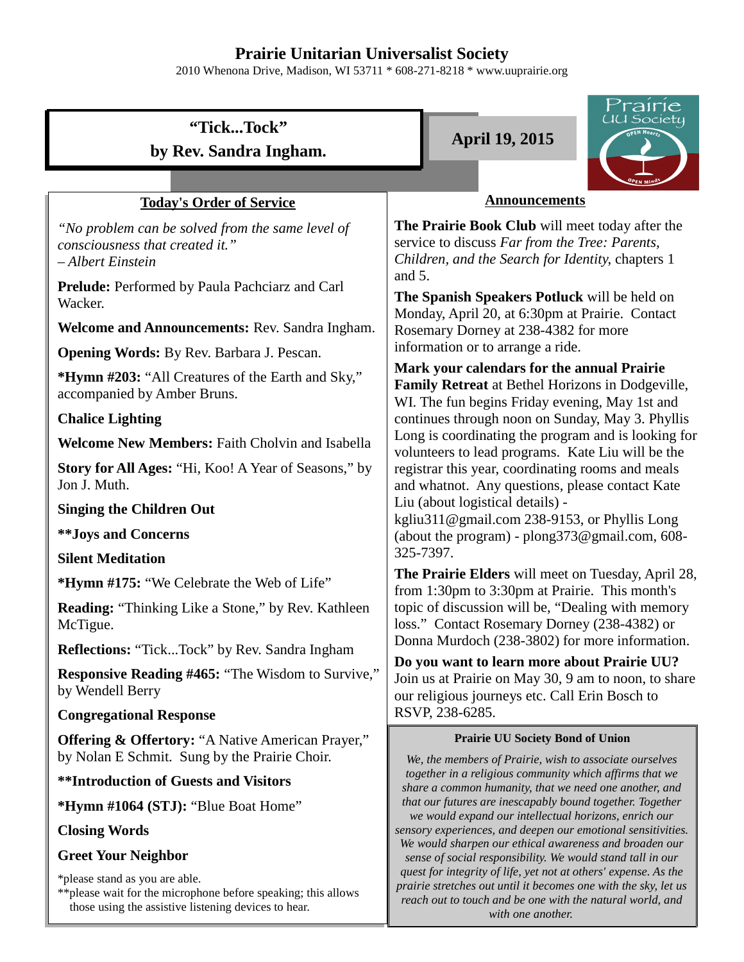## **Prairie Unitarian Universalist Society**

2010 Whenona Drive, Madison, WI 53711 \* 608-271-8218 \* www.uuprairie.org

# **"Tick...Tock" by Rev. Sandra Ingham.**

## **Today's Order of Service**

*"No problem can be solved from the same level of consciousness that created it." – Albert Einstein*

**Prelude:** Performed by Paula Pachciarz and Carl Wacker.

**Welcome and Announcements:** Rev. Sandra Ingham.

**Opening Words:** By Rev. Barbara J. Pescan.

**\*Hymn #203:** "All Creatures of the Earth and Sky," accompanied by Amber Bruns.

## **Chalice Lighting**

**Welcome New Members:** Faith Cholvin and Isabella

**Story for All Ages:** "Hi, Koo! A Year of Seasons," by Jon J. Muth.

**Singing the Children Out**

**\*\*Joys and Concerns**

**Silent Meditation**

**\*Hymn #175:** "We Celebrate the Web of Life"

**Reading:** "Thinking Like a Stone," by Rev. Kathleen McTigue.

**Reflections:** "Tick...Tock" by Rev. Sandra Ingham

**Responsive Reading #465:** "The Wisdom to Survive," by Wendell Berry

## **Congregational Response**

**Offering & Offertory:** "A Native American Prayer," by Nolan E Schmit. Sung by the Prairie Choir.

**\*\*Introduction of Guests and Visitors**

**\*Hymn #1064 (STJ):** "Blue Boat Home"

**Closing Words**

## **Greet Your Neighbor**

\*please stand as you are able.

\*\*please wait for the microphone before speaking; this allows those using the assistive listening devices to hear.

**April 19, 2015**

**The Prairie Book Club** will meet today after the service to discuss *Far from the Tree: Parents, Children, and the Search for Identity*, chapters 1 and 5. **Announcements**

**The Spanish Speakers Potluck** will be held on Monday, April 20, at 6:30pm at Prairie. Contact Rosemary Dorney at 238-4382 for more information or to arrange a ride.

**Mark your calendars for the annual Prairie Family Retreat** at Bethel Horizons in Dodgeville, WI. The fun begins Friday evening, May 1st and continues through noon on Sunday, May 3. Phyllis Long is coordinating the program and is looking for volunteers to lead programs. Kate Liu will be the registrar this year, coordinating rooms and meals and whatnot. Any questions, please contact Kate Liu (about logistical details) -

kgliu311@gmail.com 238-9153, or Phyllis Long (about the program) - plong373@gmail.com, 608- 325-7397.

**The Prairie Elders** will meet on Tuesday, April 28, from 1:30pm to 3:30pm at Prairie. This month's topic of discussion will be, "Dealing with memory loss." Contact Rosemary Dorney (238-4382) or Donna Murdoch (238-3802) for more information.

**Do you want to learn more about Prairie UU?** Join us at Prairie on May 30, 9 am to noon, to share our religious journeys etc. Call Erin Bosch to RSVP, 238-6285.

#### **Prairie UU Society Bond of Union**

*We, the members of Prairie, wish to associate ourselves together in a religious community which affirms that we share a common humanity, that we need one another, and that our futures are inescapably bound together. Together we would expand our intellectual horizons, enrich our sensory experiences, and deepen our emotional sensitivities. We would sharpen our ethical awareness and broaden our sense of social responsibility. We would stand tall in our quest for integrity of life, yet not at others' expense. As the prairie stretches out until it becomes one with the sky, let us reach out to touch and be one with the natural world, and with one another.*